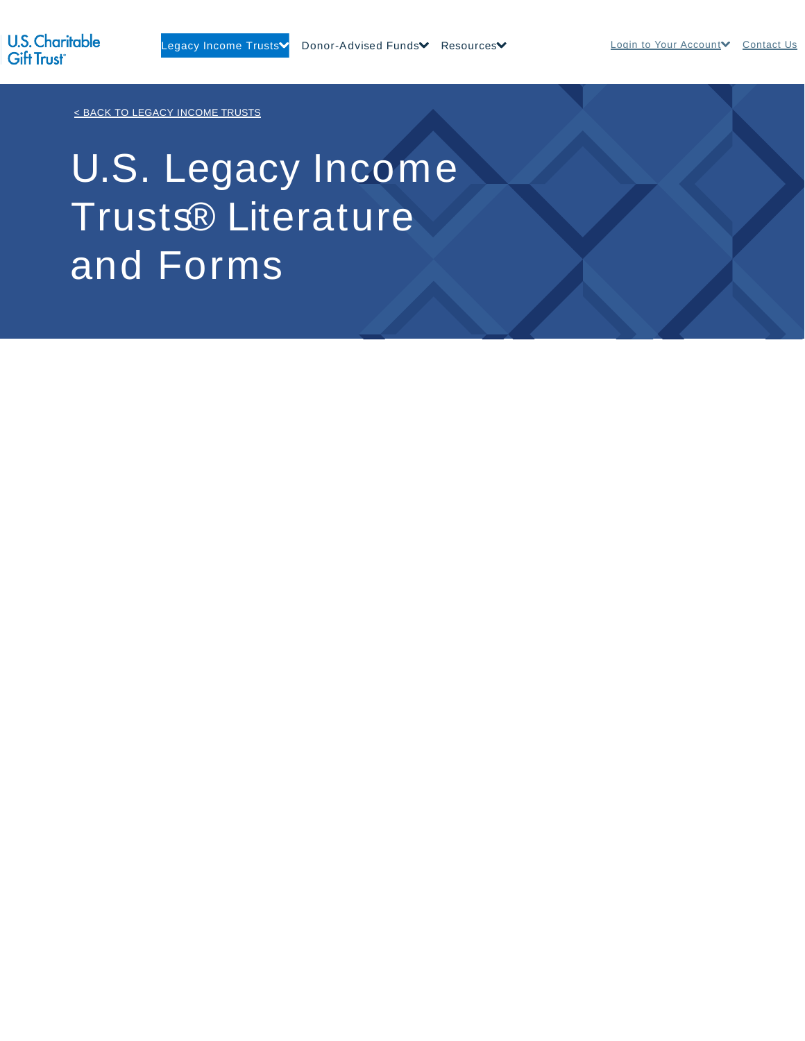< BACK TO LEGACY INCOME TRUSTS

# U.S. Legacy Income Trusts® Literature and Forms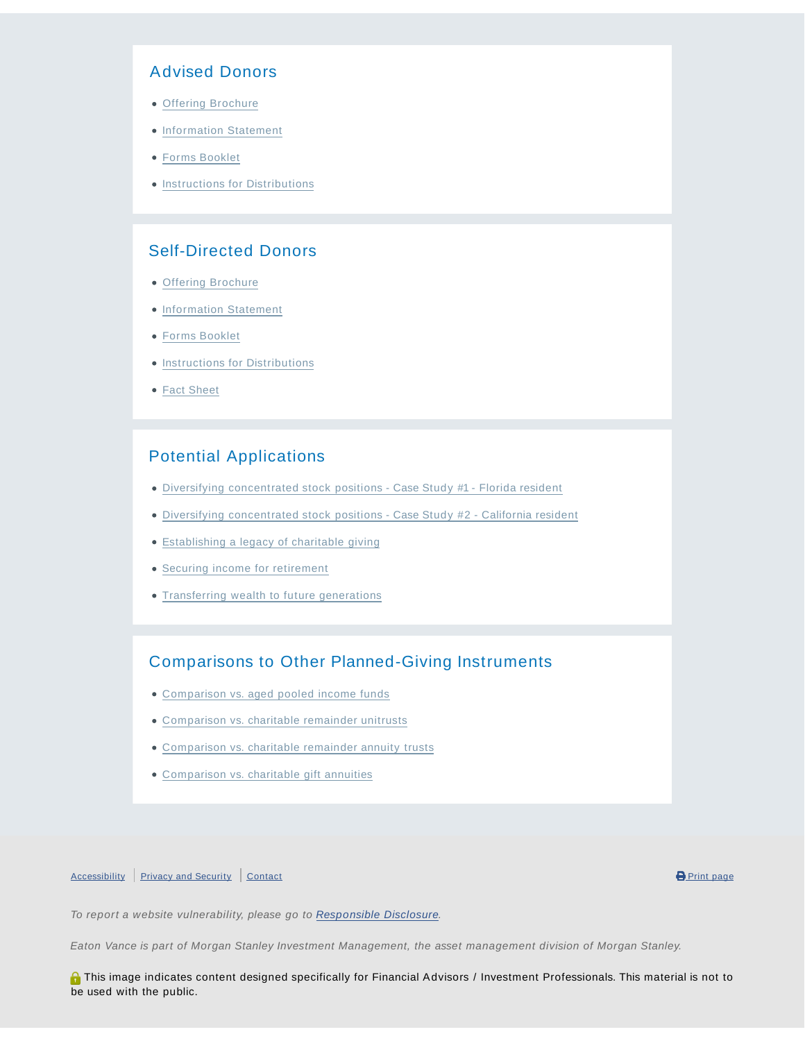### Advised Donors

- Offering Brochure
- **Information Statement**
- Forms Booklet
- **Instructions for Distributions**

## Self-Directed Donors

- Offering Brochure
- Information Statement
- Forms Booklet
- **.** Instructions for Distributions
- Fact Sheet

# Potential Applications

- Diversifying concentrated stock positions Case Study #1 Florida resident
- Diversifying concentrated stock positions Case Study #2 California resident
- Establishing a legacy of charitable giving
- Securing income for retirement
- Transferring wealth to future generations

## Comparisons to Other Planned-Giving Instruments

- Comparison vs. aged pooled income funds
- Comparison vs. charitable remainder unitrusts
- Comparison vs. charitable remainder annuity trusts
- Comparison vs. charitable gift annuities

#### Accessibility Privacy and Security Contact **Contact Contact Contact Contact Contact Contact Contact Contact Contact**

To report a website vulnerability, please go to Responsible Disclosure.

Eaton Vance is part of Morgan Stanley Investment Management, the asset management division of Morgan Stanley.

**A** This image indicates content designed specifically for Financial Advisors / Investment Professionals. This material is not to be used with the public.